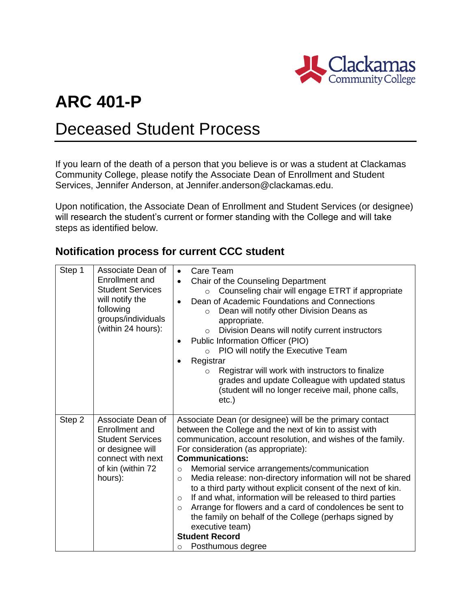

# **ARC 401-P**

## Deceased Student Process

If you learn of the death of a person that you believe is or was a student at Clackamas Community College, please notify the Associate Dean of Enrollment and Student Services, Jennifer Anderson, at Jennifer.anderson@clackamas.edu.

Upon notification, the Associate Dean of Enrollment and Student Services (or designee) will research the student's current or former standing with the College and will take steps as identified below.

### **Notification process for current CCC student**

| Step 1 | Associate Dean of<br><b>Enrollment and</b><br><b>Student Services</b><br>will notify the<br>following<br>groups/individuals<br>(within 24 hours): | Care Team<br>$\bullet$<br>Chair of the Counseling Department<br>Counseling chair will engage ETRT if appropriate<br>$\circ$<br>Dean of Academic Foundations and Connections<br>$\bullet$<br>Dean will notify other Division Deans as<br>$\circ$<br>appropriate.<br>Division Deans will notify current instructors<br>$\circ$<br>Public Information Officer (PIO)<br>٠<br>PIO will notify the Executive Team<br>O<br>Registrar<br>Registrar will work with instructors to finalize<br>$\circ$<br>grades and update Colleague with updated status<br>(student will no longer receive mail, phone calls,<br>$etc.$ )                                                                                                                               |
|--------|---------------------------------------------------------------------------------------------------------------------------------------------------|-------------------------------------------------------------------------------------------------------------------------------------------------------------------------------------------------------------------------------------------------------------------------------------------------------------------------------------------------------------------------------------------------------------------------------------------------------------------------------------------------------------------------------------------------------------------------------------------------------------------------------------------------------------------------------------------------------------------------------------------------|
| Step 2 | Associate Dean of<br>Enrollment and<br><b>Student Services</b><br>or designee will<br>connect with next<br>of kin (within 72<br>hours):           | Associate Dean (or designee) will be the primary contact<br>between the College and the next of kin to assist with<br>communication, account resolution, and wishes of the family.<br>For consideration (as appropriate):<br><b>Communications:</b><br>Memorial service arrangements/communication<br>$\circ$<br>Media release: non-directory information will not be shared<br>$\Omega$<br>to a third party without explicit consent of the next of kin.<br>If and what, information will be released to third parties<br>$\circ$<br>Arrange for flowers and a card of condolences be sent to<br>$\circ$<br>the family on behalf of the College (perhaps signed by<br>executive team)<br><b>Student Record</b><br>Posthumous degree<br>$\circ$ |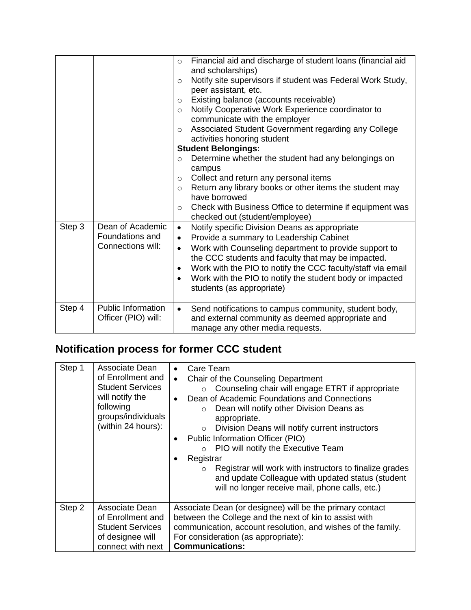|        |                            | $\circ$                | Financial aid and discharge of student loans (financial aid<br>and scholarships)         |  |
|--------|----------------------------|------------------------|------------------------------------------------------------------------------------------|--|
|        |                            | $\circ$                | Notify site supervisors if student was Federal Work Study,                               |  |
|        |                            |                        | peer assistant, etc.                                                                     |  |
|        |                            | $\circ$                | Existing balance (accounts receivable)                                                   |  |
|        |                            | $\circ$                | Notify Cooperative Work Experience coordinator to                                        |  |
|        |                            |                        | communicate with the employer                                                            |  |
|        |                            | $\circ$                | Associated Student Government regarding any College                                      |  |
|        |                            |                        | activities honoring student                                                              |  |
|        | <b>Student Belongings:</b> |                        |                                                                                          |  |
|        |                            | $\circ$                | Determine whether the student had any belongings on                                      |  |
|        |                            |                        | campus                                                                                   |  |
|        |                            | $\circ$                | Collect and return any personal items                                                    |  |
|        |                            | $\circ$                | Return any library books or other items the student may                                  |  |
|        |                            |                        | have borrowed                                                                            |  |
|        |                            | $\Omega$               | Check with Business Office to determine if equipment was                                 |  |
| Step 3 | Dean of Academic           |                        | checked out (student/employee)                                                           |  |
|        | Foundations and            | $\bullet$<br>$\bullet$ | Notify specific Division Deans as appropriate<br>Provide a summary to Leadership Cabinet |  |
|        | Connections will:          |                        | Work with Counseling department to provide support to                                    |  |
|        |                            | $\bullet$              | the CCC students and faculty that may be impacted.                                       |  |
|        |                            | $\bullet$              | Work with the PIO to notify the CCC faculty/staff via email                              |  |
|        |                            |                        | Work with the PIO to notify the student body or impacted                                 |  |
|        |                            |                        | students (as appropriate)                                                                |  |
|        |                            |                        |                                                                                          |  |
| Step 4 | <b>Public Information</b>  | $\bullet$              | Send notifications to campus community, student body,                                    |  |
|        | Officer (PIO) will:        |                        | and external community as deemed appropriate and                                         |  |
|        |                            |                        | manage any other media requests.                                                         |  |

## **Notification process for former CCC student**

| Step 1 | Associate Dean<br>of Enrollment and<br><b>Student Services</b><br>will notify the<br>following<br>groups/individuals<br>(within 24 hours): | Care Team<br>Chair of the Counseling Department<br>$\bullet$<br>Counseling chair will engage ETRT if appropriate<br>$\circ$<br>Dean of Academic Foundations and Connections<br>$\bullet$<br>Dean will notify other Division Deans as<br>$\circ$<br>appropriate.<br>Division Deans will notify current instructors<br>$\circ$<br>Public Information Officer (PIO)<br>PIO will notify the Executive Team<br>Registrar<br>Registrar will work with instructors to finalize grades<br>$\circ$<br>and update Colleague with updated status (student<br>will no longer receive mail, phone calls, etc.) |
|--------|--------------------------------------------------------------------------------------------------------------------------------------------|---------------------------------------------------------------------------------------------------------------------------------------------------------------------------------------------------------------------------------------------------------------------------------------------------------------------------------------------------------------------------------------------------------------------------------------------------------------------------------------------------------------------------------------------------------------------------------------------------|
| Step 2 | Associate Dean<br>of Enrollment and<br><b>Student Services</b><br>of designee will<br>connect with next                                    | Associate Dean (or designee) will be the primary contact<br>between the College and the next of kin to assist with<br>communication, account resolution, and wishes of the family.<br>For consideration (as appropriate):<br><b>Communications:</b>                                                                                                                                                                                                                                                                                                                                               |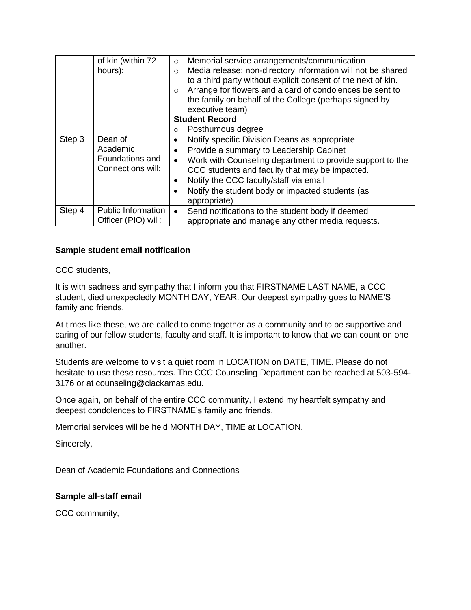| of kin (within 72                                           | Memorial service arrangements/communication<br>$\circ$                  |
|-------------------------------------------------------------|-------------------------------------------------------------------------|
| hours):                                                     | Media release: non-directory information will not be shared<br>$\Omega$ |
|                                                             | to a third party without explicit consent of the next of kin.           |
|                                                             | Arrange for flowers and a card of condolences be sent to<br>$\circ$     |
|                                                             | the family on behalf of the College (perhaps signed by                  |
|                                                             | executive team)                                                         |
|                                                             | <b>Student Record</b>                                                   |
|                                                             | Posthumous degree<br>O                                                  |
| Dean of<br>Academic<br>Foundations and<br>Connections will: | Notify specific Division Deans as appropriate                           |
|                                                             | Provide a summary to Leadership Cabinet                                 |
|                                                             | Work with Counseling department to provide support to the               |
|                                                             | CCC students and faculty that may be impacted.                          |
|                                                             | Notify the CCC faculty/staff via email<br>٠                             |
|                                                             | Notify the student body or impacted students (as                        |
|                                                             | appropriate)                                                            |
| <b>Public Information</b>                                   | Send notifications to the student body if deemed<br>$\bullet$           |
| Officer (PIO) will:                                         | appropriate and manage any other media requests.                        |
|                                                             |                                                                         |

#### **Sample student email notification**

CCC students,

It is with sadness and sympathy that I inform you that FIRSTNAME LAST NAME, a CCC student, died unexpectedly MONTH DAY, YEAR. Our deepest sympathy goes to NAME'S family and friends.

At times like these, we are called to come together as a community and to be supportive and caring of our fellow students, faculty and staff. It is important to know that we can count on one another.

Students are welcome to visit a quiet room in LOCATION on DATE, TIME. Please do not hesitate to use these resources. The CCC Counseling Department can be reached at 503-594- 3176 or at counseling@clackamas.edu.

Once again, on behalf of the entire CCC community, I extend my heartfelt sympathy and deepest condolences to FIRSTNAME's family and friends.

Memorial services will be held MONTH DAY, TIME at LOCATION.

Sincerely,

Dean of Academic Foundations and Connections

#### **Sample all-staff email**

CCC community,